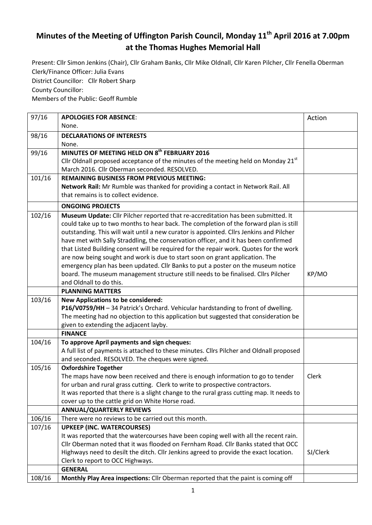## **Minutes of the Meeting of Uffington Parish Council, Monday 11th April 2016 at 7.00pm at the Thomas Hughes Memorial Hall**

Present: Cllr Simon Jenkins (Chair), Cllr Graham Banks, Cllr Mike Oldnall, Cllr Karen Pilcher, Cllr Fenella Oberman Clerk/Finance Officer: Julia Evans

District Councillor: Cllr Robert Sharp

County Councillor:

Members of the Public: Geoff Rumble

| 97/16  | <b>APOLOGIES FOR ABSENCE:</b>                                                                                                                                              | Action   |
|--------|----------------------------------------------------------------------------------------------------------------------------------------------------------------------------|----------|
|        | None.                                                                                                                                                                      |          |
| 98/16  | <b>DECLARATIONS OF INTERESTS</b>                                                                                                                                           |          |
|        | None.                                                                                                                                                                      |          |
| 99/16  | MINUTES OF MEETING HELD ON 8 <sup>th</sup> FEBRUARY 2016                                                                                                                   |          |
|        | Cllr Oldnall proposed acceptance of the minutes of the meeting held on Monday $21st$                                                                                       |          |
|        | March 2016. Cllr Oberman seconded. RESOLVED.                                                                                                                               |          |
| 101/16 | <b>REMAINING BUSINESS FROM PREVIOUS MEETING:</b>                                                                                                                           |          |
|        | Network Rail: Mr Rumble was thanked for providing a contact in Network Rail. All                                                                                           |          |
|        | that remains is to collect evidence.                                                                                                                                       |          |
|        | <b>ONGOING PROJECTS</b>                                                                                                                                                    |          |
| 102/16 | Museum Update: Cllr Pilcher reported that re-accreditation has been submitted. It                                                                                          |          |
|        | could take up to two months to hear back. The completion of the forward plan is still                                                                                      |          |
|        | outstanding. This will wait until a new curator is appointed. Cllrs Jenkins and Pilcher                                                                                    |          |
|        | have met with Sally Straddling, the conservation officer, and it has been confirmed                                                                                        |          |
|        | that Listed Building consent will be required for the repair work. Quotes for the work                                                                                     |          |
|        | are now being sought and work is due to start soon on grant application. The                                                                                               |          |
|        | emergency plan has been updated. Cllr Banks to put a poster on the museum notice                                                                                           |          |
|        | board. The museum management structure still needs to be finalised. Cllrs Pilcher                                                                                          | KP/MO    |
|        | and Oldnall to do this.                                                                                                                                                    |          |
|        | <b>PLANNING MATTERS</b>                                                                                                                                                    |          |
| 103/16 | <b>New Applications to be considered:</b>                                                                                                                                  |          |
|        | P16/V0759/HH - 34 Patrick's Orchard. Vehicular hardstanding to front of dwelling.                                                                                          |          |
|        | The meeting had no objection to this application but suggested that consideration be                                                                                       |          |
|        | given to extending the adjacent layby.                                                                                                                                     |          |
|        | <b>FINANCE</b>                                                                                                                                                             |          |
| 104/16 | To approve April payments and sign cheques:                                                                                                                                |          |
|        | A full list of payments is attached to these minutes. Cllrs Pilcher and Oldnall proposed                                                                                   |          |
|        | and seconded. RESOLVED. The cheques were signed.                                                                                                                           |          |
| 105/16 | <b>Oxfordshire Together</b>                                                                                                                                                |          |
|        | The maps have now been received and there is enough information to go to tender                                                                                            | Clerk    |
|        | for urban and rural grass cutting. Clerk to write to prospective contractors.<br>It was reported that there is a slight change to the rural grass cutting map. It needs to |          |
|        | cover up to the cattle grid on White Horse road.                                                                                                                           |          |
|        | <b>ANNUAL/QUARTERLY REVIEWS</b>                                                                                                                                            |          |
| 106/16 | There were no reviews to be carried out this month.                                                                                                                        |          |
| 107/16 | <b>UPKEEP (INC. WATERCOURSES)</b>                                                                                                                                          |          |
|        | It was reported that the watercourses have been coping well with all the recent rain.                                                                                      |          |
|        | Cllr Oberman noted that it was flooded on Fernham Road. Cllr Banks stated that OCC                                                                                         |          |
|        | Highways need to desilt the ditch. Cllr Jenkins agreed to provide the exact location.                                                                                      | SJ/Clerk |
|        | Clerk to report to OCC Highways.                                                                                                                                           |          |
|        | <b>GENERAL</b>                                                                                                                                                             |          |
| 108/16 | Monthly Play Area inspections: Cllr Oberman reported that the paint is coming off                                                                                          |          |